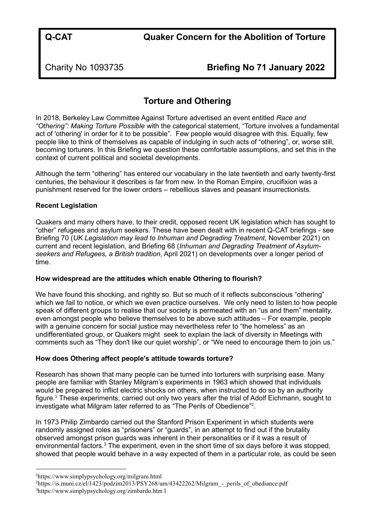Charity No 1093735 **Briefing No 71 January 2022**

# **Torture and Othering**

In 2018, Berkeley Law Committee Against Torture advertised an event entitled *Race and "Othering": Making Torture Possible* with the categorical statement, "Torture involves a fundamental act of 'othering' in order for it to be possible". Few people would disagree with this. Equally, few people like to think of themselves as capable of indulging in such acts of "othering", or, worse still, becoming torturers. In this Briefing we question these comfortable assumptions, and set this in the context of current political and societal developments.

Although the term "othering" has entered our vocabulary in the late twentieth and early twenty-first centuries, the behaviour it describes is far from new. In the Roman Empire, crucifixion was a punishment reserved for the lower orders – rebellious slaves and peasant insurrectionists.

## **Recent Legislation**

Quakers and many others have, to their credit, opposed recent UK legislation which has sought to "other" refugees and asylum seekers. These have been dealt with in recent Q-CAT briefings - see Briefing 70 (*UK Legislation may lead to Inhuman and Degrading Treatment*, November 2021) on current and recent legislation, and Briefing 68 (*Inhuman and Degrading Treatment of Asylumseekers and Refugees, a British tradition,* April 2021) on developments over a longer period of time.

## **How widespread are the attitudes which enable Othering to flourish?**

We have found this shocking, and rightly so. But so much of it reflects subconscious "othering" which we fail to notice, or which we even practice ourselves. We only need to listen.to how people speak of different groups to realise that our society is permeated with an "us and them" mentality, even amongst people who believe themselves to be above such attitudes – For example, people with a genuine concern for social justice may nevertheless refer to "the homeless" as an undifferentiated group, or Quakers might seek to explain the lack of diversity in Meetings with comments such as "They don't like our quiet worship", or "We need to encourage them to join us."

## **How does Othering affect people's attitude towards torture?**

Research has shown that many people can be turned into torturers with surprising ease. Many people are familiar with Stanley Milgram's experiments in 1963 which showed that individuals would be prepared to inflict electric shocks on others, when instructed to do so by an authority figure.<sup>1</sup> These experiments, carried out only two years after the trial of Adolf Eichmann, sought to investigate what Milgram later referred to as "The Perils of Obedience"<sup>2</sup>.

In 1973 Philip Zimbardo carried out the Stanford Prison Experiment in which students were randomly assigned roles as "prisoners" or "guards", in an attempt to find out if the brutality observed amongst prison guards was inherent in their personalities or if it was a result of environmental factors.<sup>3</sup> The experiment, even in the short time of six days before it was stopped, showed that people would behave in a way expected of them in a particular role, as could be seen

<sup>1</sup><https://www.simplypsychology.org/milgram.html>

 $2$ https://is.muni.cz/el/1423/podzim2013/PSY268/um/43422262/Milgram - perils of obediance.pdf <sup>3</sup><https://www.simplypsychology.org/zimbardo.htm> l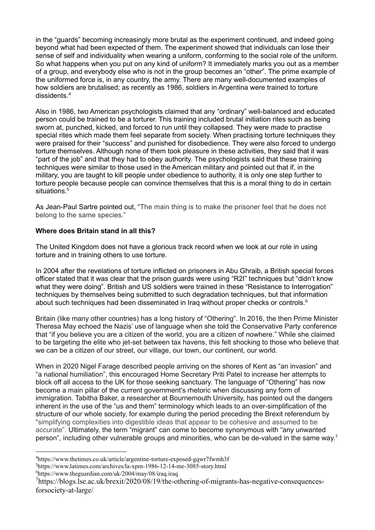in the "guards" becoming increasingly more brutal as the experiment continued, and indeed going beyond what had been expected of them. The experiment showed that individuals can lose their sense of self and individuality when wearing a uniform, conforming to the social role of the uniform. So what happens when you put on any kind of uniform? It immediately marks you out as a member of a group, and everybody else who is not in the group becomes an "other". The prime example of the uniformed force is, in any country, the army. There are many well-documented examples of how soldiers are brutalised; as recently as 1986, soldiers in Argentina were trained to torture dissidents.<sup>4</sup>

Also in 1986, two American psychologists claimed that any "ordinary" well-balanced and educated person could be trained to be a torturer. This training included brutal initiation rites such as being sworn at, punched, kicked, and forced to run until they collapsed. They were made to practise special rites which made them feel separate from society. When practising torture techniques they were praised for their "success" and punished for disobedience. They were also forced to undergo torture themselves. Although none of them took pleasure in these activities, they said that it was "part of the job" and that they had to obey authority. The psychologists said that these training techniques were similar to those used in the American military and pointed out that if, in the military, you are taught to kill people under obedience to authority, it is only one step further to torture people because people can convince themselves that this is a moral thing to do in certain situations<sup>5</sup>

As Jean-Paul Sartre pointed out, "The main thing is to make the prisoner feel that he does not belong to the same species."

## **Where does Britain stand in all this?**

The United Kingdom does not have a glorious track record when we look at our role in using torture and in training others to use torture.

In 2004 after the revelations of torture inflicted on prisoners in Abu Ghraib, a British special forces officer stated that it was clear that the prison guards were using "R2I" techniques but "didn't know what they were doing". British and US soldiers were trained in these "Resistance to Interrogation" techniques by themselves being submitted to such degradation techniques, but that information about such techniques had been disseminated in Iraq without proper checks or controls.<sup>6</sup>

Britain (like many other countries) has a long history of "Othering". In 2016, the then Prime Minister Theresa May echoed the Nazis' use of language when she told the Conservative Party conference that "if you believe you are a citizen of the world, you are a citizen of nowhere." While she claimed to be targeting the elite who jet-set between tax havens, this felt shocking to those who believe that we can be a citizen of our street, our village, our town, our continent, our world.

When in 2020 Nigel Farage described people arriving on the shores of Kent as "an invasion" and "a national humiliation", this encouraged Home Secretary Priti Patel to increase her attempts to block off all access to the UK for those seeking sanctuary. The language of "Othering" has now become a main pillar of the current government's rhetoric when discussing any form of immigration. Tabitha Baker, a researcher at Bournemouth University, has pointed out the dangers inherent in the use of the "us and them" terminology which leads to an over-simplification of the structure of our whole society, for example during the period preceding the Brexit referendum by "simplifying complexities into digestible ideas that appear to be cohesive and assumed to be accurate". Ultimately, the term "migrant" can come to become synonymous with "any unwanted person", including other vulnerable groups and minorities, who can be de-valued in the same way.<sup>7</sup>

<sup>4</sup><https://www.thetimes.co.uk/article/argentine-torture-exposed-gqwr7fwmh3f>

<sup>5</sup><https://www.latimes.com/archives/la-xpm-1986-12-14-me-3085-story.html>

<sup>6</sup><https://www.theguardian.com/uk/2004/may/08/iraq.iraq>

<sup>&</sup>lt;sup>7</sup>[https://blogs.lse.ac.uk/brexit/2020/08/19/the-othering-of-migrants-has-negative-consequences](https://blogs.lse.ac.uk/brexit/2020/08/19/the-othering-of-migrants-has-negative-consequences-for-society-at-large/)[forsociety-at-large/](https://blogs.lse.ac.uk/brexit/2020/08/19/the-othering-of-migrants-has-negative-consequences-for-society-at-large/)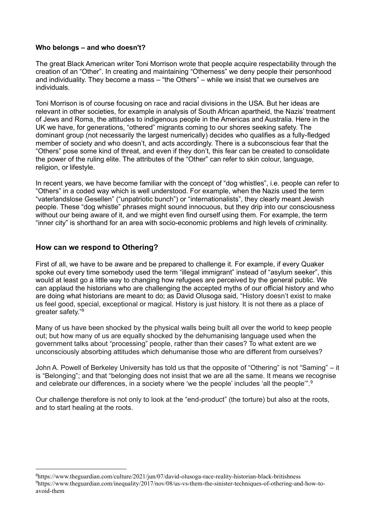#### **Who belongs – and who doesn't?**

The great Black American writer Toni Morrison wrote that people acquire respectability through the creation of an "Other". In creating and maintaining "Otherness" we deny people their personhood and individuality. They become a mass – "the Others" – while we insist that we ourselves are individuals.

Toni Morrison is of course focusing on race and racial divisions in the USA. But her ideas are relevant in other societies, for example in analysis of South African apartheid, the Nazis' treatment of Jews and Roma, the attitudes to indigenous people in the Americas and Australia. Here in the UK we have, for generations, "othered" migrants coming to our shores seeking safety. The dominant group (not necessarily the largest numerically) decides who qualifies as a fully-fledged member of society and who doesn't, and acts accordingly. There is a subconscious fear that the "Others" pose some kind of threat, and even if they don't, this fear can be created to consolidate the power of the ruling elite. The attributes of the "Other" can refer to skin colour, language, religion, or lifestyle.

In recent years, we have become familiar with the concept of "dog whistles", i.e. people can refer to "Others" in a coded way which is well understood. For example, when the Nazis used the term "vaterlandslose Gesellen" ("unpatriotic bunch") or "internationalists", they clearly meant Jewish people. These "dog whistle" phrases might sound innocuous, but they drip into our consciousness without our being aware of it, and we might even find ourself using them. For example, the term "inner city" is shorthand for an area with socio-economic problems and high levels of criminality.

## **How can we respond to Othering?**

First of all, we have to be aware and be prepared to challenge it. For example, if every Quaker spoke out every time somebody used the term "illegal immigrant" instead of "asylum seeker", this would at least go a little way to changing how refugees are perceived by the general public. We can applaud the historians who are challenging the accepted myths of our official history and who are doing what historians are meant to do; as David Olusoga said, "History doesn't exist to make us feel good, special, exceptional or magical. History is just history. It is not there as a place of greater safety."<sup>8</sup>

Many of us have been shocked by the physical walls being built all over the world to keep people out; but how many of us are equally shocked by the dehumanising language used when the government talks about "processing" people, rather than their cases? To what extent are we unconsciously absorbing attitudes which dehumanise those who are different from ourselves?

John A. Powell of Berkeley University has told us that the opposite of "Othering" is not "Saming" – it is "Belonging"; and that "belonging does not insist that we are all the same. It means we recognise and celebrate our differences, in a society where 'we the people' includes 'all the people'".<sup>9</sup>

Our challenge therefore is not only to look at the "end-product" (the torture) but also at the roots, and to start healing at the roots.

<sup>8</sup><https://www.theguardian.com/culture/2021/jun/07/david-olusoga-race-reality-historian-black-britishness> 9[https://www.theguardian.com/inequality/2017/nov/08/us-vs-them-the-sinister-techniques-of-othering-and-how-to](https://www.theguardian.com/inequality/2017/nov/08/us-vs-them-the-sinister-techniques-of-othering-and-how-to-avoid-them)[avoid-them](https://www.theguardian.com/inequality/2017/nov/08/us-vs-them-the-sinister-techniques-of-othering-and-how-to-avoid-them)